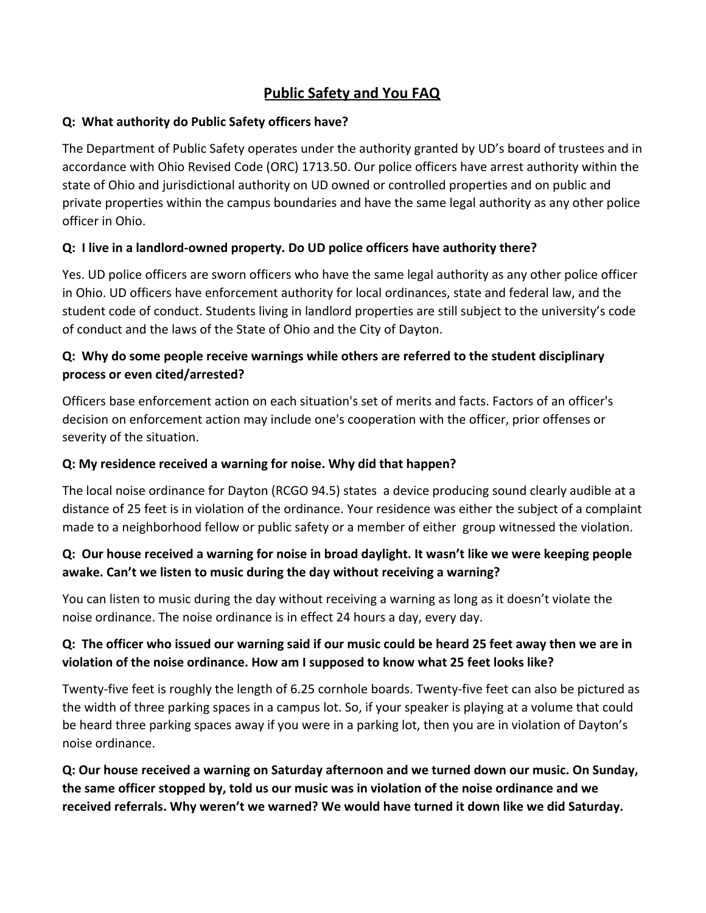# **Public Safety and You FAQ**

#### **Q: What authority do Public Safety officers have?**

The Department of Public Safety operates under the authority granted by UD's board of trustees and in accordance with Ohio Revised Code (ORC) 1713.50. Our police officers have arrest authority within the state of Ohio and jurisdictional authority on UD owned or controlled properties and on public and private properties within the campus boundaries and have the same legal authority as any other police officer in Ohio.

### **Q: I live in a landlord-owned property. Do UD police officers have authority there?**

Yes. UD police officers are sworn officers who have the same legal authority as any other police officer in Ohio. UD officers have enforcement authority for local ordinances, state and federal law, and the student code of conduct. Students living in landlord properties are still subject to the university's code of conduct and the laws of the State of Ohio and the City of Dayton.

## **Q: Why do some people receive warnings while others are referred to the student disciplinary process or even cited/arrested?**

Officers base enforcement action on each situation's set of merits and facts. Factors of an officer's decision on enforcement action may include one's cooperation with the officer, prior offenses or severity of the situation.

#### **Q: My residence received a warning for noise. Why did that happen?**

The local noise ordinance for Dayton (RCGO 94.5) states a device producing sound clearly audible at a distance of 25 feet is in violation of the ordinance. Your residence was either the subject of a complaint made to a neighborhood fellow or public safety or a member of either group witnessed the violation.

### **Q: Our house received a warning for noise in broad daylight. It wasn't like we were keeping people awake. Can't we listen to music during the day without receiving a warning?**

You can listen to music during the day without receiving a warning as long as it doesn't violate the noise ordinance. The noise ordinance is in effect 24 hours a day, every day.

### **Q: The officer who issued our warning said if our music could be heard 25 feet away then we are in violation of the noise ordinance. How am I supposed to know what 25 feet looks like?**

Twenty-five feet is roughly the length of 6.25 cornhole boards. Twenty-five feet can also be pictured as the width of three parking spaces in a campus lot. So, if your speaker is playing at a volume that could be heard three parking spaces away if you were in a parking lot, then you are in violation of Dayton's noise ordinance.

**Q: Our house received a warning on Saturday afternoon and we turned down our music. On Sunday, the same officer stopped by, told us our music was in violation of the noise ordinance and we received referrals. Why weren't we warned? We would have turned it down like we did Saturday.**